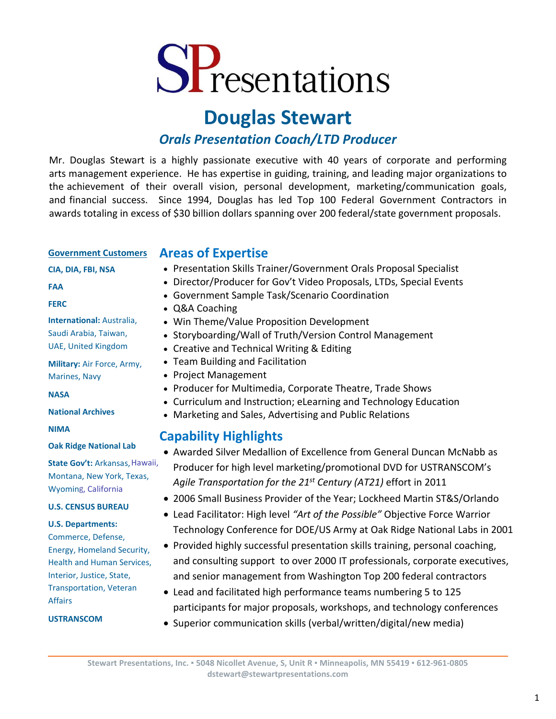# SPresentations

## **Douglas Stewart**

## *Orals Presentation Coach/LTD Producer*

Mr. Douglas Stewart is a highly passionate executive with 40 years of corporate and performing arts management experience. He has expertise in guiding, training, and leading major organizations to the achievement of their overall vision, personal development, marketing/communication goals, and financial success. Since 1994, Douglas has led Top 100 Federal Government Contractors in awards totaling in excess of \$30 billion dollars spanning over 200 federal/state government proposals.

#### **Government Customers**

• **CIA, DIA, FBI, NSA**

### **Areas of Expertise**

- Presentation Skills Trainer/Government Orals Proposal Specialist
- Director/Producer for Gov't Video Proposals, LTDs, Special Events
- Government Sample Task/Scenario Coordination
- Q&A Coaching
- Win Theme/Value Proposition Development
- Storyboarding/Wall of Truth/Version Control Management
- Creative and Technical Writing & Editing
- Team Building and Facilitation
- Project Management
- Producer for Multimedia, Corporate Theatre, Trade Shows
- Curriculum and Instruction; eLearning and Technology Education
- Marketing and Sales, Advertising and Public Relations

## **Capability Highlights**

- Awarded Silver Medallion of Excellence from General Duncan McNabb as Producer for high level marketing/promotional DVD for USTRANSCOM's *Agile Transportation for the 21st Century (AT21)* effort in 2011
- 2006 Small Business Provider of the Year; Lockheed Martin ST&S/Orlando
- Lead Facilitator: High level *"Art of the Possible"* Objective Force Warrior Technology Conference for DOE/US Army at Oak Ridge National Labs in 2001
- Provided highly successful presentation skills training, personal coaching, and consulting support to over 2000 IT professionals, corporate executives, and senior management from Washington Top 200 federal contractors
- Lead and facilitated high performance teams numbering 5 to 125 participants for major proposals, workshops, and technology conferences
- Superior communication skills (verbal/written/digital/new media)

#### • **FERC**

• **FAA**

• **International:** Australia, Saudi Arabia, Taiwan, UAE, United Kingdom

• **Military:** Air Force, Army, Marines, Navy

• **NASA**

• **National Archives**

• **NIMA**

#### • **Oak Ridge National Lab**

• **State Gov't:** Arkansas, Hawaii, Montana, New York, Texas, Wyomin g , California

#### • **U.S. CENSUS BUREAU**

#### • **U.S. Departments:**

Commerce, Defense, Energy, Homeland Security, Health and Human Services, Interior, Justice, State, Transportation, Veteran Affairs

#### • **USTRANSCOM**